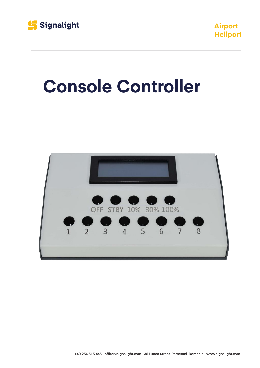



## **Console Controller**

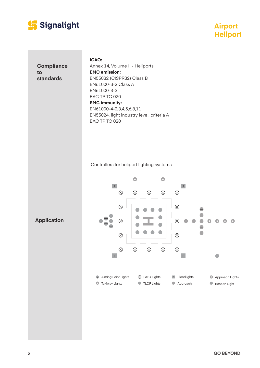

**Airport Heliport Heliport**

**Compliance to standards**

**Application**

**ICAO:** Annex 14, Volume II - Heliports **EMC emission:**  EN55032 (CISPR32) Class B EN61000-3-2 Class A EN61000-3-3 EAC TP TC 020 **EMC immunity:**  EN61000-4-2,3,4,5,6,8,11 EN55024, light industry level, criteria A EAC TP TC 020

Controllers for heliport lighting systems

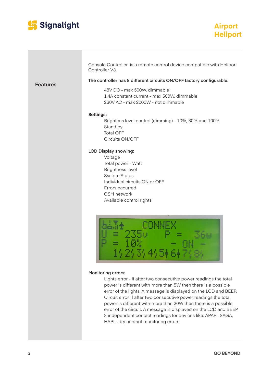

**Features**

| <b>Airport</b>  |  |
|-----------------|--|
| <b>Heliport</b> |  |

|                  | The controller has 8 different circuits ON/OFF factory configurable:<br>48V DC - max 500W, dimmable<br>1,4A constant current - max 500W, dimmable<br>230V AC - max 2000W - not dimmable                               |
|------------------|-----------------------------------------------------------------------------------------------------------------------------------------------------------------------------------------------------------------------|
| <b>Settings:</b> | Brightens level control (dimming) - 10%, 30% and 100%<br>Stand by<br><b>Total OFF</b><br>Circuits ON/OFF                                                                                                              |
|                  | <b>LCD Display showing:</b><br>Voltage<br>Total power - Watt<br><b>Brightness level</b><br><b>System Status</b><br>Individual circuits ON or OFF<br>Errors occurred<br><b>GSM</b> network<br>Available control rights |

 $(2/3/4/5)$  6+

## **Monitoring errors:**

Lights error - if after two consecutive power readings the total power is different with more than 5W then there is a possible error of the lights. A message is displayed on the LCD and BEEP. Circuit error, if after two consecutive power readings the total power is different with more than 20W then there is a possible error of the circuit. A message is displayed on the LCD and BEEP. 3 independent contact readings for devices like: APAPI, SAGA, HAPI - dry contact monitoring errors.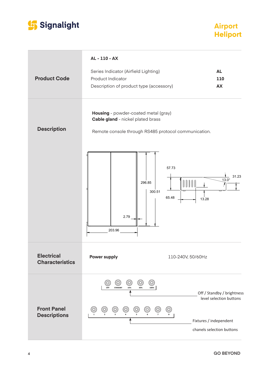

## **Airport Heliport Heliport**

| <b>Product Code</b>                         | AL - 110 - AX<br>Series Indicator (Airfield Lighting)<br>Product Indicator<br>Description of product type (accessory)                                                                              | <b>AL</b><br>110<br>AX                                                                                       |
|---------------------------------------------|----------------------------------------------------------------------------------------------------------------------------------------------------------------------------------------------------|--------------------------------------------------------------------------------------------------------------|
| <b>Description</b>                          | Housing - powder-coated metal (gray)<br>Cable gland - nickel plated brass<br>Remote console through RS485 protocol communication.                                                                  |                                                                                                              |
|                                             | 296.85<br>300.51<br>2.79<br>203.96                                                                                                                                                                 | 57.73<br>31.23<br>$13.0^\circ$<br>65.48<br>13.28                                                             |
| <b>Electrical</b><br><b>Characteristics</b> | <b>Power supply</b>                                                                                                                                                                                | 110-240V, 50/60Hz                                                                                            |
| <b>Front Panel</b><br><b>Descriptions</b>   | ©)<br>$\circledcirc$<br>(©)<br>(O)<br>О<br>100%<br><b>STANDBY</b><br>30%<br>10%<br>OFF<br>$^{\copyright}$<br>$\circledcirc$<br>$^\copyright$<br>$^\circledR$<br>$^{\copyright}$<br>$^{\copyright}$ | Off / Standby / brightness<br>level selection buttons<br>Fixtures / independent<br>chanels selection buttons |